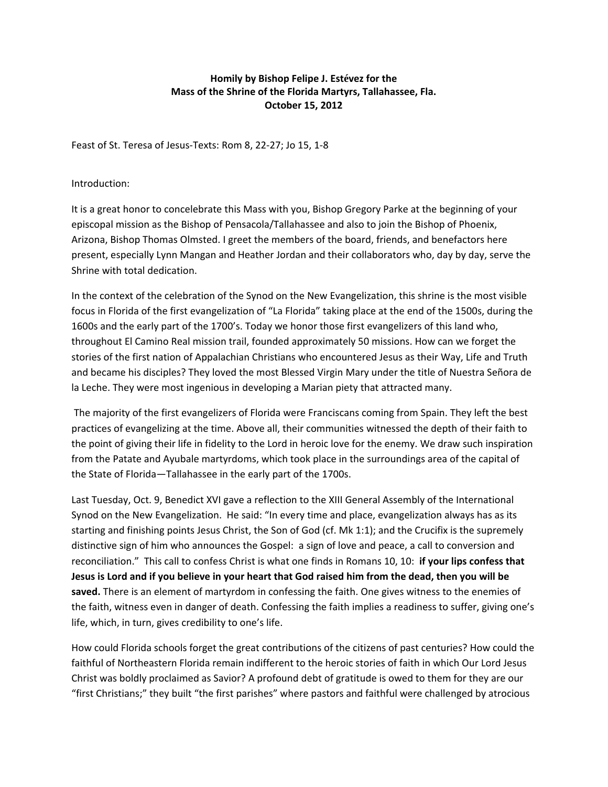## **Homily by Bishop Felipe J. Estévez for the Mass of the Shrine of the Florida Martyrs, Tallahassee, Fla. October 15, 2012**

Feast of St. Teresa of Jesus-Texts: Rom 8, 22-27; Jo 15, 1-8

Introduction:

It is a great honor to concelebrate this Mass with you, Bishop Gregory Parke at the beginning of your episcopal mission as the Bishop of Pensacola/Tallahassee and also to join the Bishop of Phoenix, Arizona, Bishop Thomas Olmsted. I greet the members of the board, friends, and benefactors here present, especially Lynn Mangan and Heather Jordan and their collaborators who, day by day, serve the Shrine with total dedication.

In the context of the celebration of the Synod on the New Evangelization, this shrine is the most visible focus in Florida of the first evangelization of "La Florida" taking place at the end of the 1500s, during the 1600s and the early part of the 1700's. Today we honor those first evangelizers of this land who, throughout El Camino Real mission trail, founded approximately 50 missions. How can we forget the stories of the first nation of Appalachian Christians who encountered Jesus as their Way, Life and Truth and became his disciples? They loved the most Blessed Virgin Mary under the title of Nuestra Señora de la Leche. They were most ingenious in developing a Marian piety that attracted many.

 The majority of the first evangelizers of Florida were Franciscans coming from Spain. They left the best practices of evangelizing at the time. Above all, their communities witnessed the depth of their faith to the point of giving their life in fidelity to the Lord in heroic love for the enemy. We draw such inspiration from the Patate and Ayubale martyrdoms, which took place in the surroundings area of the capital of the State of Florida—Tallahassee in the early part of the 1700s.

Last Tuesday, Oct. 9, Benedict XVI gave a reflection to the XIII General Assembly of the International Synod on the New Evangelization. He said: "In every time and place, evangelization always has as its starting and finishing points Jesus Christ, the Son of God (cf. Mk 1:1); and the Crucifix is the supremely distinctive sign of him who announces the Gospel: a sign of love and peace, a call to conversion and reconciliation." This call to confess Christ is what one finds in Romans 10, 10: **if your lips confess that Jesus is Lord and if you believe in your heart that God raised him from the dead, then you will be saved.** There is an element of martyrdom in confessing the faith. One gives witness to the enemies of the faith, witness even in danger of death. Confessing the faith implies a readiness to suffer, giving one's life, which, in turn, gives credibility to one's life.

How could Florida schools forget the great contributions of the citizens of past centuries? How could the faithful of Northeastern Florida remain indifferent to the heroic stories of faith in which Our Lord Jesus Christ was boldly proclaimed as Savior? A profound debt of gratitude is owed to them for they are our "first Christians;" they built "the first parishes" where pastors and faithful were challenged by atrocious